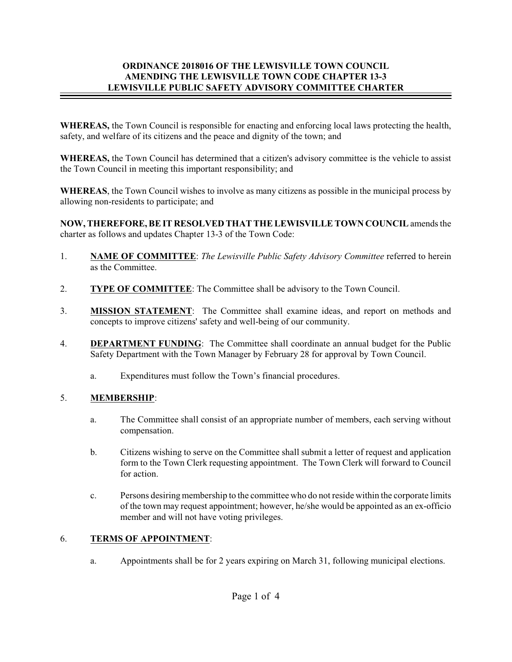#### **ORDINANCE 2018016 OF THE LEWISVILLE TOWN COUNCIL AMENDING THE LEWISVILLE TOWN CODE CHAPTER 13-3 LEWISVILLE PUBLIC SAFETY ADVISORY COMMITTEE CHARTER**

**WHEREAS,** the Town Council is responsible for enacting and enforcing local laws protecting the health, safety, and welfare of its citizens and the peace and dignity of the town; and

**WHEREAS,** the Town Council has determined that a citizen's advisory committee is the vehicle to assist the Town Council in meeting this important responsibility; and

**WHEREAS**, the Town Council wishes to involve as many citizens as possible in the municipal process by allowing non-residents to participate; and

**NOW, THEREFORE, BE IT RESOLVED THAT THE LEWISVILLE TOWN COUNCIL** amends the charter as follows and updates Chapter 13-3 of the Town Code:

- 1. **NAME OF COMMITTEE**: *The Lewisville Public Safety Advisory Committee* referred to herein as the Committee.
- 2. **TYPE OF COMMITTEE**: The Committee shall be advisory to the Town Council.
- 3. **MISSION STATEMENT**: The Committee shall examine ideas, and report on methods and concepts to improve citizens' safety and well-being of our community.
- 4. **DEPARTMENT FUNDING**: The Committee shall coordinate an annual budget for the Public Safety Department with the Town Manager by February 28 for approval by Town Council.
	- a. Expenditures must follow the Town's financial procedures.

# 5. **MEMBERSHIP**:

- a. The Committee shall consist of an appropriate number of members, each serving without compensation.
- b. Citizens wishing to serve on the Committee shall submit a letter of request and application form to the Town Clerk requesting appointment. The Town Clerk will forward to Council for action.
- c. Persons desiring membership to the committee who do not reside within the corporate limits of the town may request appointment; however, he/she would be appointed as an ex-officio member and will not have voting privileges.

# 6. **TERMS OF APPOINTMENT**:

a. Appointments shall be for 2 years expiring on March 31, following municipal elections.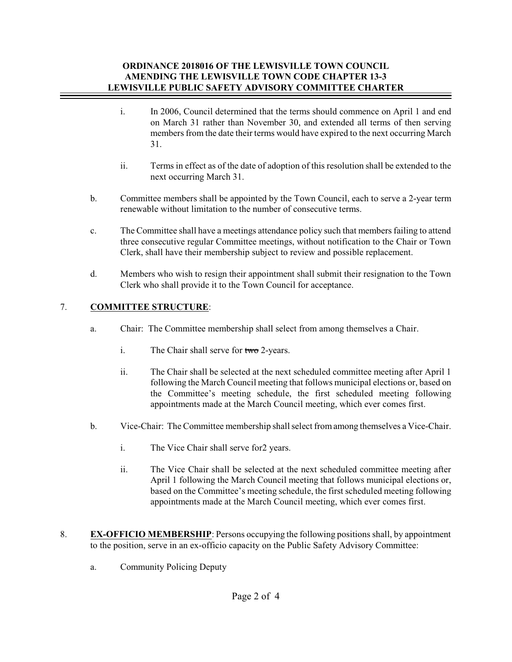#### **ORDINANCE 2018016 OF THE LEWISVILLE TOWN COUNCIL AMENDING THE LEWISVILLE TOWN CODE CHAPTER 13-3 LEWISVILLE PUBLIC SAFETY ADVISORY COMMITTEE CHARTER**

- i. In 2006, Council determined that the terms should commence on April 1 and end on March 31 rather than November 30, and extended all terms of then serving members from the date their terms would have expired to the next occurring March 31.
- ii. Terms in effect as of the date of adoption of this resolution shall be extended to the next occurring March 31.
- b. Committee members shall be appointed by the Town Council, each to serve a 2-year term renewable without limitation to the number of consecutive terms.
- c. The Committee shall have a meetings attendance policy such that members failing to attend three consecutive regular Committee meetings, without notification to the Chair or Town Clerk, shall have their membership subject to review and possible replacement.
- d. Members who wish to resign their appointment shall submit their resignation to the Town Clerk who shall provide it to the Town Council for acceptance.

# 7. **COMMITTEE STRUCTURE**:

- a. Chair: The Committee membership shall select from among themselves a Chair.
	- i. The Chair shall serve for  $t_{\text{w}}$  2-years.
	- ii. The Chair shall be selected at the next scheduled committee meeting after April 1 following the March Council meeting that follows municipal elections or, based on the Committee's meeting schedule, the first scheduled meeting following appointments made at the March Council meeting, which ever comes first.
- b. Vice-Chair: The Committee membership shall select fromamong themselves a Vice-Chair.
	- i. The Vice Chair shall serve for2 years.
	- ii. The Vice Chair shall be selected at the next scheduled committee meeting after April 1 following the March Council meeting that follows municipal elections or, based on the Committee's meeting schedule, the first scheduled meeting following appointments made at the March Council meeting, which ever comes first.
- 8. **EX-OFFICIO MEMBERSHIP**: Persons occupying the following positions shall, by appointment to the position, serve in an ex-officio capacity on the Public Safety Advisory Committee:
	- a. Community Policing Deputy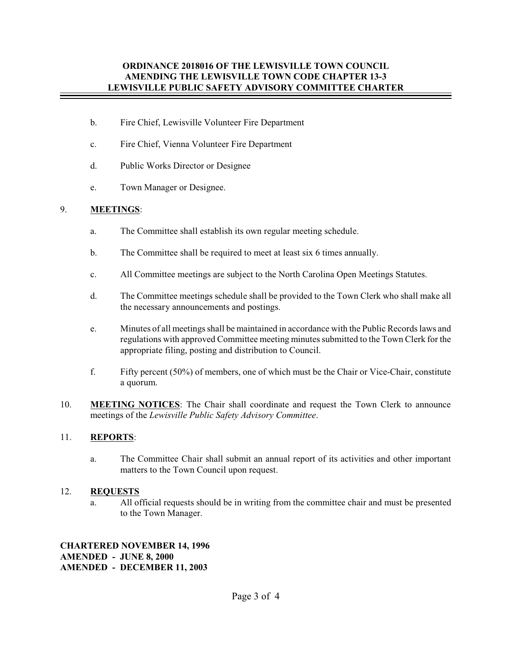- b. Fire Chief, Lewisville Volunteer Fire Department
- c. Fire Chief, Vienna Volunteer Fire Department
- d. Public Works Director or Designee
- e. Town Manager or Designee.

# 9. **MEETINGS**:

- a. The Committee shall establish its own regular meeting schedule.
- b. The Committee shall be required to meet at least six 6 times annually.
- c. All Committee meetings are subject to the North Carolina Open Meetings Statutes.
- d. The Committee meetings schedule shall be provided to the Town Clerk who shall make all the necessary announcements and postings.
- e. Minutes of all meetings shall be maintained in accordance with the Public Records laws and regulations with approved Committee meeting minutes submitted to the Town Clerk for the appropriate filing, posting and distribution to Council.
- f. Fifty percent (50%) of members, one of which must be the Chair or Vice-Chair, constitute a quorum.
- 10. **MEETING NOTICES**: The Chair shall coordinate and request the Town Clerk to announce meetings of the *Lewisville Public Safety Advisory Committee*.

# 11. **REPORTS**:

a. The Committee Chair shall submit an annual report of its activities and other important matters to the Town Council upon request.

#### 12. **REQUESTS**

a. All official requests should be in writing from the committee chair and must be presented to the Town Manager.

**CHARTERED NOVEMBER 14, 1996 AMENDED - JUNE 8, 2000 AMENDED - DECEMBER 11, 2003**